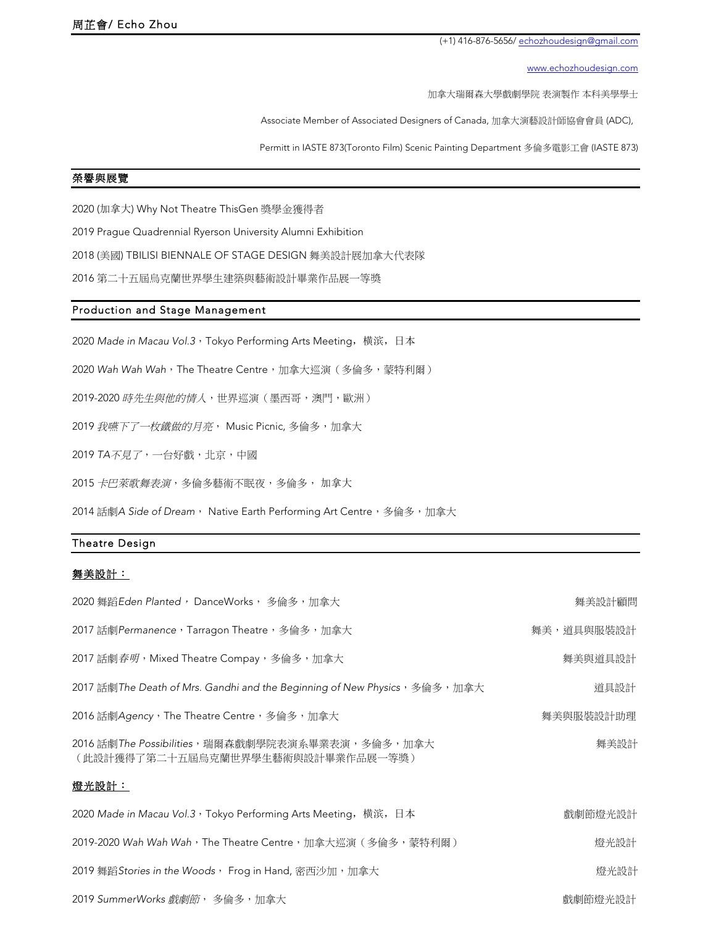(+1) 416-876-5656/ echozhoudesign@gmail.com

www.echozhoudesign.com

加拿大瑞爾森大學戲劇學院 表演製作 本科美學學士

Associate Member of Associated Designers of Canada, 加拿大演藝設計師協會會員 (ADC),

Permitt in IASTE 873(Toronto Film) Scenic Painting Department 多倫多電影工會 (IASTE 873)

## 榮譽與展覽

2020 (加拿大) Why Not Theatre ThisGen 獎學金獲得者

2019 Prague Quadrennial Ryerson University Alumni Exhibition

2018 (美國) TBILISI BIENNALE OF STAGE DESIGN 舞美設計展加拿大代表隊

2016 第二十五屆烏克蘭世界學生建築與藝術設計畢業作品展一等獎

## Production and Stage Management

2020 Made in Macau Vol.3, Tokyo Performing Arts Meeting, 横滨, 日本

2020 Wah Wah Wah, The Theatre Centre,加拿大巡演(多倫多,蒙特利爾)

2019-2020 時先生與他的情人,世界巡演(墨西哥,澳門,歐洲)

2019 我嚥下了一枚鐵做的月亮, Music Picnic, 多倫多, 加拿大

2019 *TA*不見了,一台好戲,北京,中國

2015 卡巴萊歌舞表演,多倫多藝術不眠夜,多倫多, 加拿大

2014 話劇*A Side of Dream*, Native Earth Performing Art Centre,多倫多,加拿大

## Theatre Design

## 舞美設計:

| 2020 舞蹈Eden Planted, DanceWorks, 多倫多, 加拿大                                            | 舞美設計顧問     |
|--------------------------------------------------------------------------------------|------------|
| 2017 話劇Permanence,Tarragon Theatre,多倫多,加拿大                                           | 舞美,道具與服裝設計 |
| 2017 話劇 <i>春明</i> ,Mixed Theatre Compay,多倫多,加拿大                                      | 舞美與道具設計    |
| 2017 話劇The Death of Mrs. Gandhi and the Beginning of New Physics,多倫多,加拿大             | 道具設計       |
| 2016 話劇Agency,The Theatre Centre,多倫多,加拿大                                             | 舞美與服裝設計助理  |
| 2016 話劇The Possibilities,瑞爾森戲劇學院表演系畢業表演,多倫多,加拿大<br>(此設計獲得了第二十五屆烏克蘭世界學生藝術與設計畢業作品展一等獎) | 舞美設計       |
| 燈光設計:                                                                                |            |
| 2020 Made in Macau Vol.3,Tokyo Performing Arts Meeting,横滨,日本                         | 戲劇節燈光設計    |
| 2019-2020 Wah Wah Wah,The Theatre Centre,加拿大巡演(多倫多,蒙特利爾)                             | 燈光設計       |
| 2019 舞蹈 Stories in the Woods, Frog in Hand, 密西沙加, 加拿大                                | 燈光設計       |
| 2019 SummerWorks 戲劇節,多倫多,加拿大                                                         | 戲劇節燈光設計    |